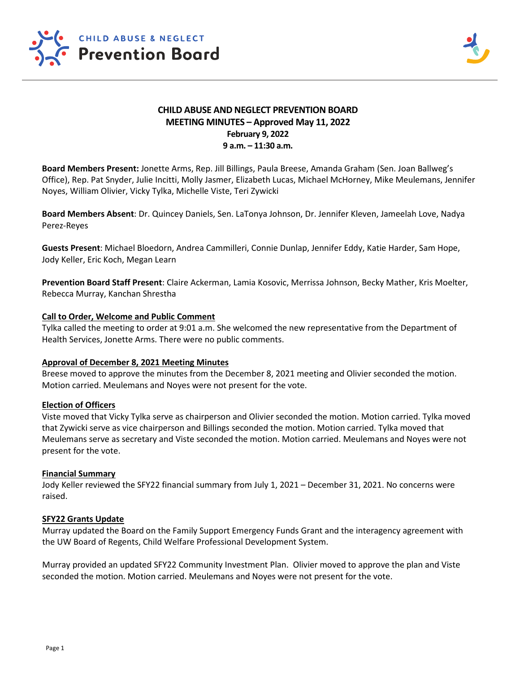

# **CHILD ABUSE AND NEGLECT PREVENTION BOARD MEETING MINUTES – Approved May 11, 2022 February 9, 2022 9 a.m. – 11:30 a.m.**

**Board Members Present:** Jonette Arms, Rep. Jill Billings, Paula Breese, Amanda Graham (Sen. Joan Ballweg's Office), Rep. Pat Snyder, Julie Incitti, Molly Jasmer, Elizabeth Lucas, Michael McHorney, Mike Meulemans, Jennifer Noyes, William Olivier, Vicky Tylka, Michelle Viste, Teri Zywicki

**Board Members Absent**: Dr. Quincey Daniels, Sen. LaTonya Johnson, Dr. Jennifer Kleven, Jameelah Love, Nadya Perez-Reyes

**Guests Present**: Michael Bloedorn, Andrea Cammilleri, Connie Dunlap, Jennifer Eddy, Katie Harder, Sam Hope, Jody Keller, Eric Koch, Megan Learn

**Prevention Board Staff Present**: Claire Ackerman, Lamia Kosovic, Merrissa Johnson, Becky Mather, Kris Moelter, Rebecca Murray, Kanchan Shrestha

### **Call to Order, Welcome and Public Comment**

Tylka called the meeting to order at 9:01 a.m. She welcomed the new representative from the Department of Health Services, Jonette Arms. There were no public comments.

### **Approval of December 8, 2021 Meeting Minutes**

Breese moved to approve the minutes from the December 8, 2021 meeting and Olivier seconded the motion. Motion carried. Meulemans and Noyes were not present for the vote.

# **Election of Officers**

Viste moved that Vicky Tylka serve as chairperson and Olivier seconded the motion. Motion carried. Tylka moved that Zywicki serve as vice chairperson and Billings seconded the motion. Motion carried. Tylka moved that Meulemans serve as secretary and Viste seconded the motion. Motion carried. Meulemans and Noyes were not present for the vote.

### **Financial Summary**

Jody Keller reviewed the SFY22 financial summary from July 1, 2021 – December 31, 2021. No concerns were raised.

### **SFY22 Grants Update**

Murray updated the Board on the Family Support Emergency Funds Grant and the interagency agreement with the UW Board of Regents, Child Welfare Professional Development System.

Murray provided an updated SFY22 Community Investment Plan. Olivier moved to approve the plan and Viste seconded the motion. Motion carried. Meulemans and Noyes were not present for the vote.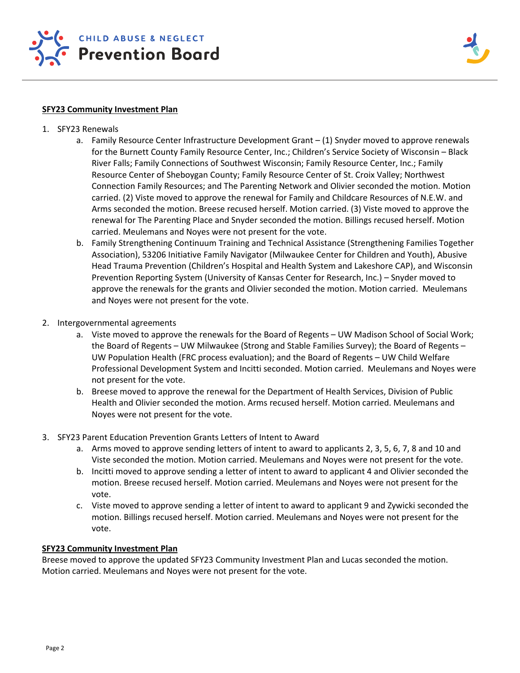

### **SFY23 Community Investment Plan**

- 1. SFY23 Renewals
	- a. Family Resource Center Infrastructure Development Grant (1) Snyder moved to approve renewals for the Burnett County Family Resource Center, Inc.; Children's Service Society of Wisconsin – Black River Falls; Family Connections of Southwest Wisconsin; Family Resource Center, Inc.; Family Resource Center of Sheboygan County; Family Resource Center of St. Croix Valley; Northwest Connection Family Resources; and The Parenting Network and Olivier seconded the motion. Motion carried. (2) Viste moved to approve the renewal for Family and Childcare Resources of N.E.W. and Arms seconded the motion. Breese recused herself. Motion carried. (3) Viste moved to approve the renewal for The Parenting Place and Snyder seconded the motion. Billings recused herself. Motion carried. Meulemans and Noyes were not present for the vote.
	- b. Family Strengthening Continuum Training and Technical Assistance (Strengthening Families Together Association), 53206 Initiative Family Navigator (Milwaukee Center for Children and Youth), Abusive Head Trauma Prevention (Children's Hospital and Health System and Lakeshore CAP), and Wisconsin Prevention Reporting System (University of Kansas Center for Research, Inc.) – Snyder moved to approve the renewals for the grants and Olivier seconded the motion. Motion carried. Meulemans and Noyes were not present for the vote.
- 2. Intergovernmental agreements
	- a. Viste moved to approve the renewals for the Board of Regents UW Madison School of Social Work; the Board of Regents – UW Milwaukee (Strong and Stable Families Survey); the Board of Regents – UW Population Health (FRC process evaluation); and the Board of Regents – UW Child Welfare Professional Development System and Incitti seconded. Motion carried. Meulemans and Noyes were not present for the vote.
	- b. Breese moved to approve the renewal for the Department of Health Services, Division of Public Health and Olivier seconded the motion. Arms recused herself. Motion carried. Meulemans and Noyes were not present for the vote.
- 3. SFY23 Parent Education Prevention Grants Letters of Intent to Award
	- a. Arms moved to approve sending letters of intent to award to applicants 2, 3, 5, 6, 7, 8 and 10 and Viste seconded the motion. Motion carried. Meulemans and Noyes were not present for the vote.
	- b. Incitti moved to approve sending a letter of intent to award to applicant 4 and Olivier seconded the motion. Breese recused herself. Motion carried. Meulemans and Noyes were not present for the vote.
	- c. Viste moved to approve sending a letter of intent to award to applicant 9 and Zywicki seconded the motion. Billings recused herself. Motion carried. Meulemans and Noyes were not present for the vote.

# **SFY23 Community Investment Plan**

Breese moved to approve the updated SFY23 Community Investment Plan and Lucas seconded the motion. Motion carried. Meulemans and Noyes were not present for the vote.